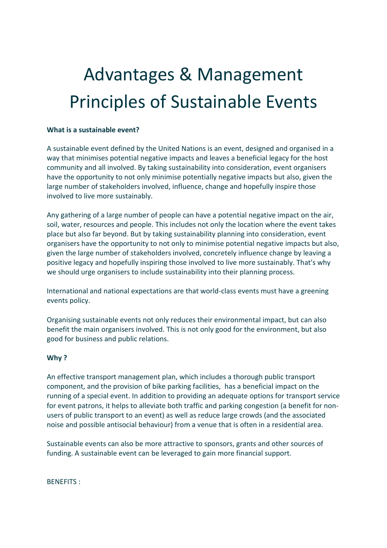# Advantages & Management Principles of Sustainable Events

#### **What is a sustainable event?**

A sustainable event defined by the United Nations is an event, designed and organised in a way that minimises potential negative impacts and leaves a beneficial legacy for the host community and all involved. By taking sustainability into consideration, event organisers have the opportunity to not only minimise potentially negative impacts but also, given the large number of stakeholders involved, influence, change and hopefully inspire those involved to live more sustainably.

Any gathering of a large number of people can have a potential negative impact on the air, soil, water, resources and people. This includes not only the location where the event takes place but also far beyond. But by taking sustainability planning into consideration, event organisers have the opportunity to not only to minimise potential negative impacts but also, given the large number of stakeholders involved, concretely influence change by leaving a positive legacy and hopefully inspiring those involved to live more sustainably. That's why we should urge organisers to include sustainability into their planning process.

International and national expectations are that world-class events must have a greening events policy.

Organising sustainable events not only reduces their environmental impact, but can also benefit the main organisers involved. This is not only good for the environment, but also good for business and public relations.

#### **Why ?**

An effective transport management plan, which includes a thorough public transport component, and the provision of bike parking facilities, has a beneficial impact on the running of a special event. In addition to providing an adequate options for transport service for event patrons, it helps to alleviate both traffic and parking congestion (a benefit for nonusers of public transport to an event) as well as reduce large crowds (and the associated noise and possible antisocial behaviour) from a venue that is often in a residential area.

Sustainable events can also be more attractive to sponsors, grants and other sources of funding. A sustainable event can be leveraged to gain more financial support.

BENEFITS :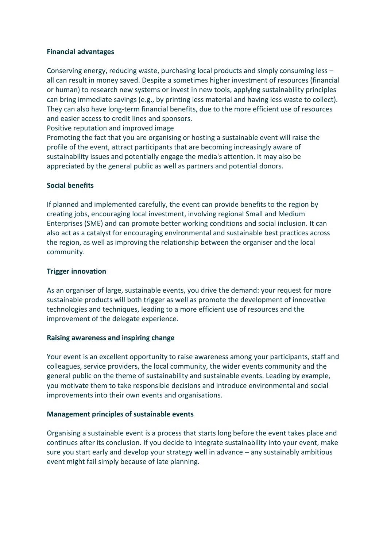## **Financial advantages**

Conserving energy, reducing waste, purchasing local products and simply consuming less – all can result in money saved. Despite a sometimes higher investment of resources (financial or human) to research new systems or invest in new tools, applying sustainability principles can bring immediate savings (e.g., by printing less material and having less waste to collect). They can also have long-term financial benefits, due to the more efficient use of resources and easier access to credit lines and sponsors.

Positive reputation and improved image

Promoting the fact that you are organising or hosting a sustainable event will raise the profile of the event, attract participants that are becoming increasingly aware of sustainability issues and potentially engage the media's attention. It may also be appreciated by the general public as well as partners and potential donors.

# **Social benefits**

If planned and implemented carefully, the event can provide benefits to the region by creating jobs, encouraging local investment, involving regional Small and Medium Enterprises (SME) and can promote better working conditions and social inclusion. It can also act as a catalyst for encouraging environmental and sustainable best practices across the region, as well as improving the relationship between the organiser and the local community.

# **Trigger innovation**

As an organiser of large, sustainable events, you drive the demand: your request for more sustainable products will both trigger as well as promote the development of innovative technologies and techniques, leading to a more efficient use of resources and the improvement of the delegate experience.

## **Raising awareness and inspiring change**

Your event is an excellent opportunity to raise awareness among your participants, staff and colleagues, service providers, the local community, the wider events community and the general public on the theme of sustainability and sustainable events. Leading by example, you motivate them to take responsible decisions and introduce environmental and social improvements into their own events and organisations.

## **Management principles of sustainable events**

Organising a sustainable event is a process that starts long before the event takes place and continues after its conclusion. If you decide to integrate sustainability into your event, make sure you start early and develop your strategy well in advance – any sustainably ambitious event might fail simply because of late planning.